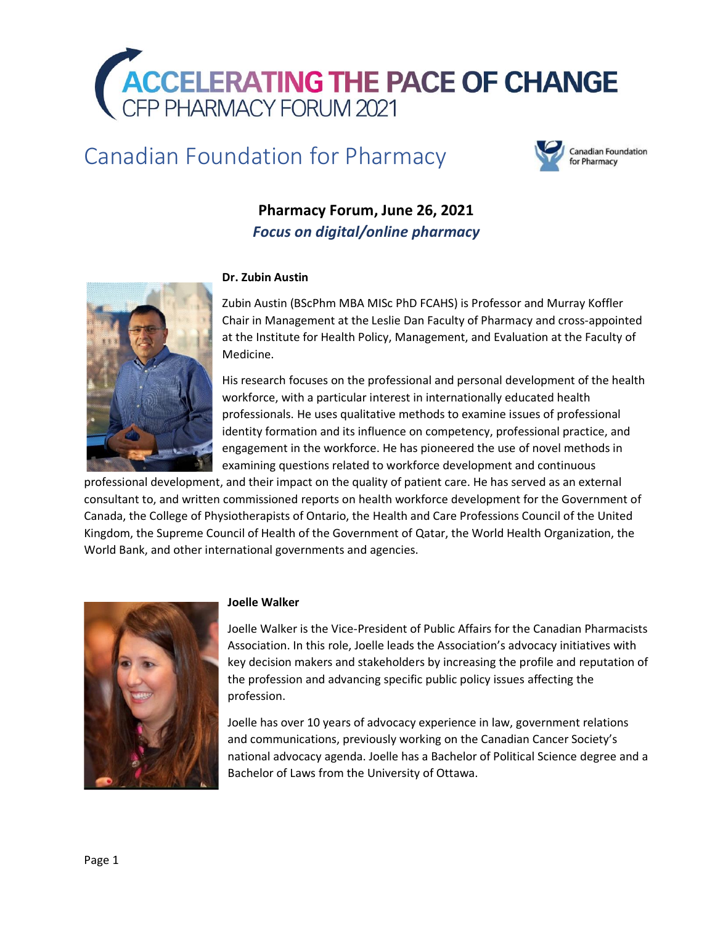

# Canadian Foundation for Pharmacy



# **Pharmacy Forum, June 26, 2021** *Focus on digital/online pharmacy*



# **Dr. Zubin Austin**

Zubin Austin (BScPhm MBA MISc PhD FCAHS) is Professor and Murray Koffler Chair in Management at the Leslie Dan Faculty of Pharmacy and cross-appointed at the Institute for Health Policy, Management, and Evaluation at the Faculty of Medicine.

His research focuses on the professional and personal development of the health workforce, with a particular interest in internationally educated health professionals. He uses qualitative methods to examine issues of professional identity formation and its influence on competency, professional practice, and engagement in the workforce. He has pioneered the use of novel methods in examining questions related to workforce development and continuous

professional development, and their impact on the quality of patient care. He has served as an external consultant to, and written commissioned reports on health workforce development for the Government of Canada, the College of Physiotherapists of Ontario, the Health and Care Professions Council of the United Kingdom, the Supreme Council of Health of the Government of Qatar, the World Health Organization, the World Bank, and other international governments and agencies.



#### **Joelle Walker**

Joelle Walker is the Vice-President of Public Affairs for the Canadian Pharmacists Association. In this role, Joelle leads the Association's advocacy initiatives with key decision makers and stakeholders by increasing the profile and reputation of the profession and advancing specific public policy issues affecting the profession.

Joelle has over 10 years of advocacy experience in law, government relations and communications, previously working on the Canadian Cancer Society's national advocacy agenda. Joelle has a Bachelor of Political Science degree and a Bachelor of Laws from the University of Ottawa.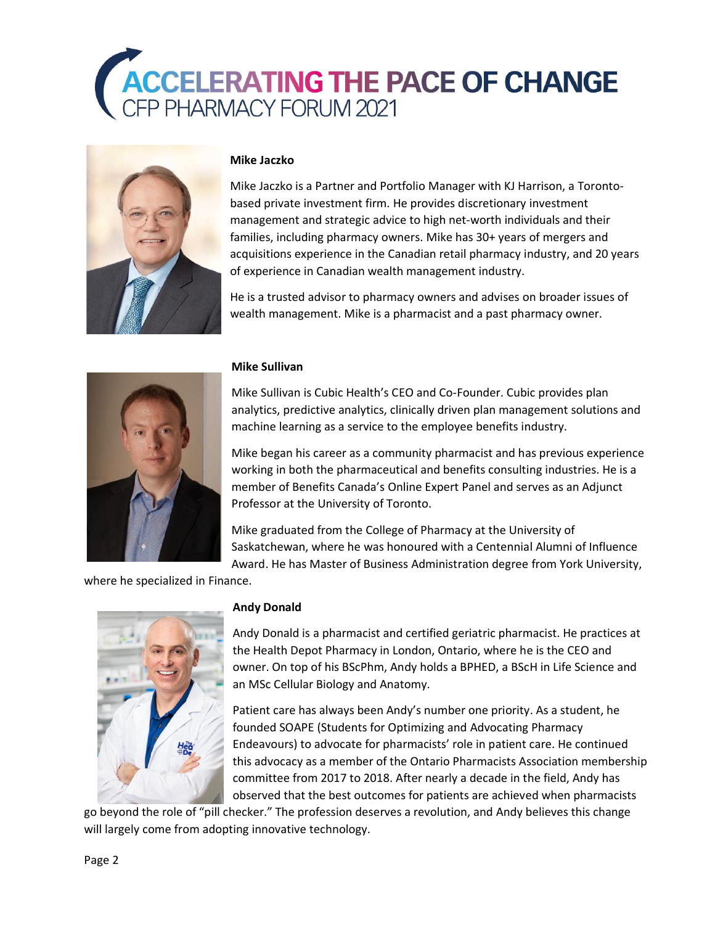



# **Mike Jaczko**

Mike Jaczko is a Partner and Portfolio Manager with KJ Harrison, a Torontobased private investment firm. He provides discretionary investment management and strategic advice to high net-worth individuals and their families, including pharmacy owners. Mike has 30+ years of mergers and acquisitions experience in the Canadian retail pharmacy industry, and 20 years of experience in Canadian wealth management industry.

He is a trusted advisor to pharmacy owners and advises on broader issues of wealth management. Mike is a pharmacist and a past pharmacy owner.



#### **Mike Sullivan**

Mike Sullivan is Cubic Health's CEO and Co-Founder. Cubic provides plan analytics, predictive analytics, clinically driven plan management solutions and machine learning as a service to the employee benefits industry.

Mike began his career as a community pharmacist and has previous experience working in both the pharmaceutical and benefits consulting industries. He is a member of Benefits Canada's Online Expert Panel and serves as an Adjunct Professor at the University of Toronto.

Mike graduated from the College of Pharmacy at the University of Saskatchewan, where he was honoured with a Centennial Alumni of Influence Award. He has Master of Business Administration degree from York University,

where he specialized in Finance.



#### **Andy Donald**

Andy Donald is a pharmacist and certified geriatric pharmacist. He practices at the Health Depot Pharmacy in London, Ontario, where he is the CEO and owner. On top of his BScPhm, Andy holds a BPHED, a BScH in Life Science and an MSc Cellular Biology and Anatomy.

Patient care has always been Andy's number one priority. As a student, he founded SOAPE (Students for Optimizing and Advocating Pharmacy Endeavours) to advocate for pharmacists' role in patient care. He continued this advocacy as a member of the Ontario Pharmacists Association membership committee from 2017 to 2018. After nearly a decade in the field, Andy has observed that the best outcomes for patients are achieved when pharmacists

go beyond the role of "pill checker." The profession deserves a revolution, and Andy believes this change will largely come from adopting innovative technology.